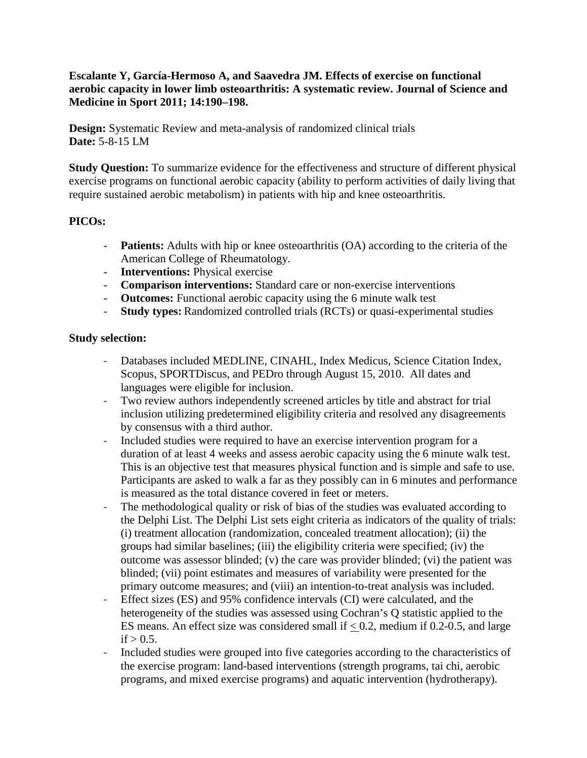## **Escalante Y, García-Hermoso A, and Saavedra JM. Effects of exercise on functional aerobic capacity in lower limb osteoarthritis: A systematic review. Journal of Science and Medicine in Sport 2011; 14:190–198.**

**Design:** Systematic Review and meta-analysis of randomized clinical trials **Date:** 5-8-15 LM

**Study Question:** To summarize evidence for the effectiveness and structure of different physical exercise programs on functional aerobic capacity (ability to perform activities of daily living that require sustained aerobic metabolism) in patients with hip and knee osteoarthritis.

# **PICOs:**

- **Patients:** Adults with hip or knee osteoarthritis (OA) according to the criteria of the American College of Rheumatology.
- **Interventions:** Physical exercise
- **Comparison interventions:** Standard care or non-exercise interventions
- **Outcomes:** Functional aerobic capacity using the 6 minute walk test
- **Study types:** Randomized controlled trials (RCTs) or quasi-experimental studies

## **Study selection:**

- Databases included MEDLINE, CINAHL, Index Medicus, Science Citation Index, Scopus, SPORTDiscus, and PEDro through August 15, 2010. All dates and languages were eligible for inclusion.
- Two review authors independently screened articles by title and abstract for trial inclusion utilizing predetermined eligibility criteria and resolved any disagreements by consensus with a third author.
- Included studies were required to have an exercise intervention program for a duration of at least 4 weeks and assess aerobic capacity using the 6 minute walk test. This is an objective test that measures physical function and is simple and safe to use. Participants are asked to walk a far as they possibly can in 6 minutes and performance is measured as the total distance covered in feet or meters.
- The methodological quality or risk of bias of the studies was evaluated according to the Delphi List. The Delphi List sets eight criteria as indicators of the quality of trials: (i) treatment allocation (randomization, concealed treatment allocation); (ii) the groups had similar baselines; (iii) the eligibility criteria were specified; (iv) the outcome was assessor blinded; (v) the care was provider blinded; (vi) the patient was blinded; (vii) point estimates and measures of variability were presented for the primary outcome measures; and (viii) an intention-to-treat analysis was included.
- Effect sizes (ES) and 95% confidence intervals (CI) were calculated, and the heterogeneity of the studies was assessed using Cochran's Q statistic applied to the ES means. An effect size was considered small if  $< 0.2$ , medium if 0.2-0.5, and large if  $> 0.5$ .
- Included studies were grouped into five categories according to the characteristics of the exercise program: land-based interventions (strength programs, tai chi, aerobic programs, and mixed exercise programs) and aquatic intervention (hydrotherapy).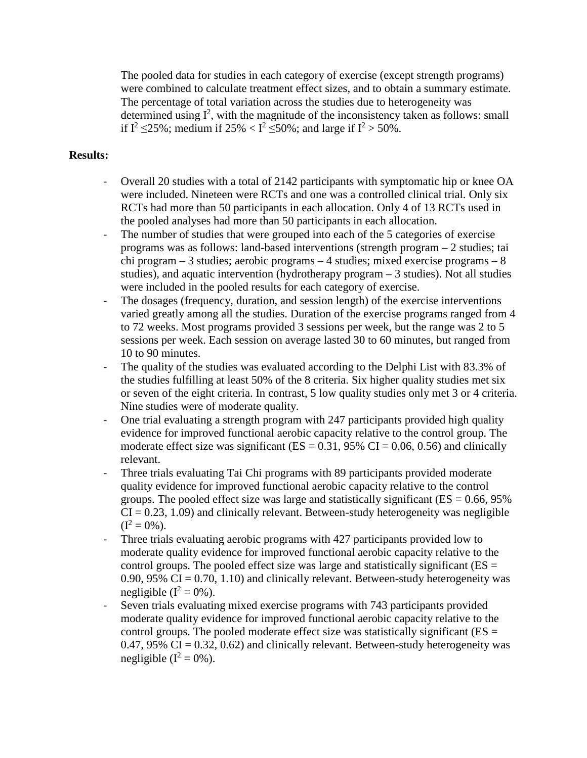The pooled data for studies in each category of exercise (except strength programs) were combined to calculate treatment effect sizes, and to obtain a summary estimate. The percentage of total variation across the studies due to heterogeneity was determined using  $I^2$ , with the magnitude of the inconsistency taken as follows: small if  $I^2 \le 25\%$ ; medium if  $25\% < I^2 \le 50\%$ ; and large if  $I^2 > 50\%$ .

#### **Results:**

- Overall 20 studies with a total of 2142 participants with symptomatic hip or knee OA were included. Nineteen were RCTs and one was a controlled clinical trial. Only six RCTs had more than 50 participants in each allocation. Only 4 of 13 RCTs used in the pooled analyses had more than 50 participants in each allocation.
- The number of studies that were grouped into each of the 5 categories of exercise programs was as follows: land-based interventions (strength program – 2 studies; tai chi program – 3 studies; aerobic programs – 4 studies; mixed exercise programs – 8 studies), and aquatic intervention (hydrotherapy program – 3 studies). Not all studies were included in the pooled results for each category of exercise.
- The dosages (frequency, duration, and session length) of the exercise interventions varied greatly among all the studies. Duration of the exercise programs ranged from 4 to 72 weeks. Most programs provided 3 sessions per week, but the range was 2 to 5 sessions per week. Each session on average lasted 30 to 60 minutes, but ranged from 10 to 90 minutes.
- The quality of the studies was evaluated according to the Delphi List with 83.3% of the studies fulfilling at least 50% of the 8 criteria. Six higher quality studies met six or seven of the eight criteria. In contrast, 5 low quality studies only met 3 or 4 criteria. Nine studies were of moderate quality.
- One trial evaluating a strength program with 247 participants provided high quality evidence for improved functional aerobic capacity relative to the control group. The moderate effect size was significant ( $ES = 0.31$ , 95% CI = 0.06, 0.56) and clinically relevant.
- Three trials evaluating Tai Chi programs with 89 participants provided moderate quality evidence for improved functional aerobic capacity relative to the control groups. The pooled effect size was large and statistically significant ( $ES = 0.66$ ,  $95\%$ )  $CI = 0.23, 1.09$  and clinically relevant. Between-study heterogeneity was negligible  $(I^2 = 0\%)$ .
- Three trials evaluating aerobic programs with 427 participants provided low to moderate quality evidence for improved functional aerobic capacity relative to the control groups. The pooled effect size was large and statistically significant ( $ES =$ 0.90, 95%  $CI = 0.70, 1.10$  and clinically relevant. Between-study heterogeneity was negligible  $(I^2 = 0\%)$ .
- Seven trials evaluating mixed exercise programs with 743 participants provided moderate quality evidence for improved functional aerobic capacity relative to the control groups. The pooled moderate effect size was statistically significant ( $ES =$ 0.47, 95%  $CI = 0.32, 0.62$ ) and clinically relevant. Between-study heterogeneity was negligible  $(I^2 = 0\%)$ .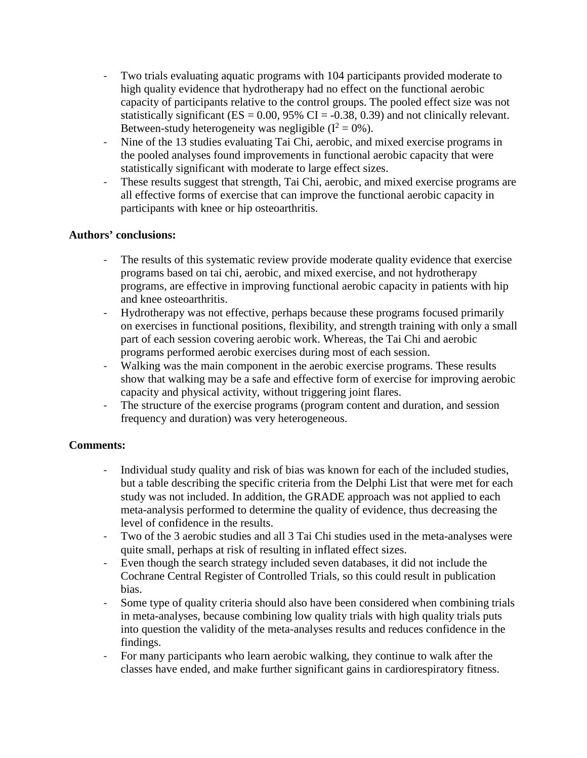- Two trials evaluating aquatic programs with 104 participants provided moderate to high quality evidence that hydrotherapy had no effect on the functional aerobic capacity of participants relative to the control groups. The pooled effect size was not statistically significant ( $ES = 0.00$ , 95% CI = -0.38, 0.39) and not clinically relevant. Between-study heterogeneity was negligible  $(I^2 = 0\%)$ .
- Nine of the 13 studies evaluating Tai Chi, aerobic, and mixed exercise programs in the pooled analyses found improvements in functional aerobic capacity that were statistically significant with moderate to large effect sizes.
- These results suggest that strength, Tai Chi, aerobic, and mixed exercise programs are all effective forms of exercise that can improve the functional aerobic capacity in participants with knee or hip osteoarthritis.

## **Authors' conclusions:**

- The results of this systematic review provide moderate quality evidence that exercise programs based on tai chi, aerobic, and mixed exercise, and not hydrotherapy programs, are effective in improving functional aerobic capacity in patients with hip and knee osteoarthritis.
- Hydrotherapy was not effective, perhaps because these programs focused primarily on exercises in functional positions, flexibility, and strength training with only a small part of each session covering aerobic work. Whereas, the Tai Chi and aerobic programs performed aerobic exercises during most of each session.
- Walking was the main component in the aerobic exercise programs. These results show that walking may be a safe and effective form of exercise for improving aerobic capacity and physical activity, without triggering joint flares.
- The structure of the exercise programs (program content and duration, and session frequency and duration) was very heterogeneous.

## **Comments:**

- Individual study quality and risk of bias was known for each of the included studies, but a table describing the specific criteria from the Delphi List that were met for each study was not included. In addition, the GRADE approach was not applied to each meta-analysis performed to determine the quality of evidence, thus decreasing the level of confidence in the results.
- Two of the 3 aerobic studies and all 3 Tai Chi studies used in the meta-analyses were quite small, perhaps at risk of resulting in inflated effect sizes.
- Even though the search strategy included seven databases, it did not include the Cochrane Central Register of Controlled Trials, so this could result in publication bias.
- Some type of quality criteria should also have been considered when combining trials in meta-analyses, because combining low quality trials with high quality trials puts into question the validity of the meta-analyses results and reduces confidence in the findings.
- For many participants who learn aerobic walking, they continue to walk after the classes have ended, and make further significant gains in cardiorespiratory fitness.